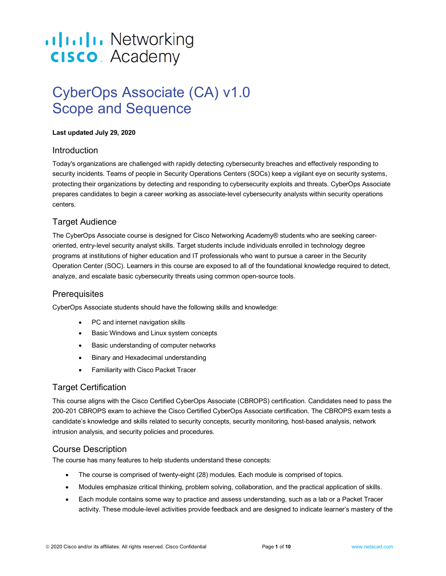# ululu Networking **CISCO**. Academy

# CyberOps Associate (CA) v1.0 Scope and Sequence

#### **Last updated July 29, 2020**

#### Introduction

Today's organizations are challenged with rapidly detecting cybersecurity breaches and effectively responding to security incidents. Teams of people in Security Operations Centers (SOCs) keep a vigilant eye on security systems, protecting their organizations by detecting and responding to cybersecurity exploits and threats. CyberOps Associate prepares candidates to begin a career working as associate-level cybersecurity analysts within security operations centers.

# Target Audience

The CyberOps Associate course is designed for Cisco Networking Academy® students who are seeking careeroriented, entry-level security analyst skills. Target students include individuals enrolled in technology degree programs at institutions of higher education and IT professionals who want to pursue a career in the Security Operation Center (SOC). Learners in this course are exposed to all of the foundational knowledge required to detect, analyze, and escalate basic cybersecurity threats using common open-source tools.

# **Prerequisites**

CyberOps Associate students should have the following skills and knowledge:

- PC and internet navigation skills
- Basic Windows and Linux system concepts
- Basic understanding of computer networks
- Binary and Hexadecimal understanding
- Familiarity with Cisco Packet Tracer

# Target Certification

This course aligns with the Cisco Certified CyberOps Associate (CBROPS) certification. Candidates need to pass the 200-201 CBROPS exam to achieve the Cisco Certified CyberOps Associate certification. The CBROPS exam tests a candidate's knowledge and skills related to security concepts, security monitoring, host-based analysis, network intrusion analysis, and security policies and procedures.

# Course Description

The course has many features to help students understand these concepts:

- The course is comprised of twenty-eight (28) modules. Each module is comprised of topics.
- Modules emphasize critical thinking, problem solving, collaboration, and the practical application of skills.
- Each module contains some way to practice and assess understanding, such as a lab or a Packet Tracer activity. These module-level activities provide feedback and are designed to indicate learner's mastery of the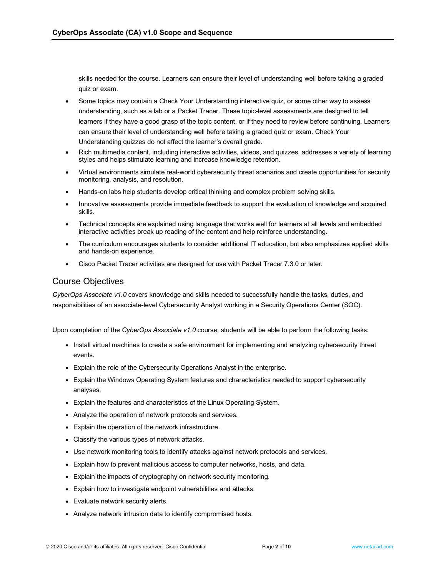skills needed for the course. Learners can ensure their level of understanding well before taking a graded quiz or exam.

- Some topics may contain a Check Your Understanding interactive quiz, or some other way to assess understanding, such as a lab or a Packet Tracer. These topic-level assessments are designed to tell learners if they have a good grasp of the topic content, or if they need to review before continuing. Learners can ensure their level of understanding well before taking a graded quiz or exam. Check Your Understanding quizzes do not affect the learner's overall grade.
- Rich multimedia content, including interactive activities, videos, and quizzes, addresses a variety of learning styles and helps stimulate learning and increase knowledge retention.
- Virtual environments simulate real-world cybersecurity threat scenarios and create opportunities for security monitoring, analysis, and resolution.
- Hands-on labs help students develop critical thinking and complex problem solving skills.
- Innovative assessments provide immediate feedback to support the evaluation of knowledge and acquired skills.
- Technical concepts are explained using language that works well for learners at all levels and embedded interactive activities break up reading of the content and help reinforce understanding.
- The curriculum encourages students to consider additional IT education, but also emphasizes applied skills and hands-on experience.
- Cisco Packet Tracer activities are designed for use with Packet Tracer 7.3.0 or later.

#### Course Objectives

*CyberOps Associate v1.0* covers knowledge and skills needed to successfully handle the tasks, duties, and responsibilities of an associate-level Cybersecurity Analyst working in a Security Operations Center (SOC).

Upon completion of the *CyberOps Associate v1.0* course, students will be able to perform the following tasks:

- Install virtual machines to create a safe environment for implementing and analyzing cybersecurity threat events.
- Explain the role of the Cybersecurity Operations Analyst in the enterprise.
- Explain the Windows Operating System features and characteristics needed to support cybersecurity analyses.
- Explain the features and characteristics of the Linux Operating System.
- Analyze the operation of network protocols and services.
- Explain the operation of the network infrastructure.
- Classify the various types of network attacks.
- Use network monitoring tools to identify attacks against network protocols and services.
- Explain how to prevent malicious access to computer networks, hosts, and data.
- Explain the impacts of cryptography on network security monitoring.
- Explain how to investigate endpoint vulnerabilities and attacks.
- Evaluate network security alerts.
- Analyze network intrusion data to identify compromised hosts.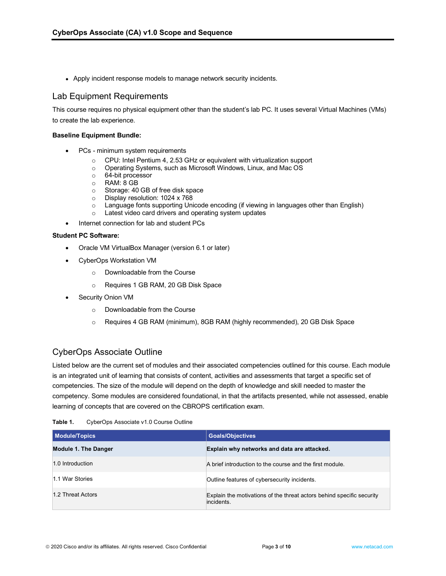• Apply incident response models to manage network security incidents.

#### Lab Equipment Requirements

This course requires no physical equipment other than the student's lab PC. It uses several Virtual Machines (VMs) to create the lab experience.

#### **Baseline Equipment Bundle:**

- PCs minimum system requirements
	- o CPU: Intel Pentium 4, 2.53 GHz or equivalent with virtualization support
	- o Operating Systems, such as Microsoft Windows, Linux, and Mac OS
	- o 64-bit processor
	- o RAM: 8 GB<br>o Storage: 40
	- Storage: 40 GB of free disk space
	- o Display resolution: 1024 x 768<br>
	o Language fonts supporting Uni
	- Language fonts supporting Unicode encoding (if viewing in languages other than English)
	- o Latest video card drivers and operating system updates
- Internet connection for lab and student PCs

#### **Student PC Software:**

- Oracle VM VirtualBox Manager (version 6.1 or later)
- CyberOps Workstation VM
	- o Downloadable from the Course
	- o Requires 1 GB RAM, 20 GB Disk Space
- Security Onion VM
	- o Downloadable from the Course
	- o Requires 4 GB RAM (minimum), 8GB RAM (highly recommended), 20 GB Disk Space

# CyberOps Associate Outline

Listed below are the current set of modules and their associated competencies outlined for this course. Each module is an integrated unit of learning that consists of content, activities and assessments that target a specific set of competencies. The size of the module will depend on the depth of knowledge and skill needed to master the competency. Some modules are considered foundational, in that the artifacts presented, while not assessed, enable learning of concepts that are covered on the CBROPS certification exam.

| Table 1. | CyberOps Associate v1.0 Course Outline |  |  |
|----------|----------------------------------------|--|--|
|----------|----------------------------------------|--|--|

| <b>Module/Topics</b>        | <b>Goals/Objectives</b>                                                             |
|-----------------------------|-------------------------------------------------------------------------------------|
| <b>Module 1. The Danger</b> | Explain why networks and data are attacked.                                         |
| 1.0 Introduction            | A brief introduction to the course and the first module.                            |
| 1.1 War Stories             | Outline features of cybersecurity incidents.                                        |
| 1.2 Threat Actors           | Explain the motivations of the threat actors behind specific security<br>incidents. |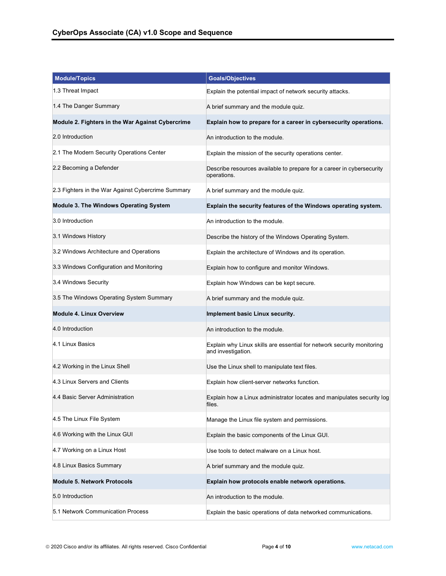| <b>Module/Topics</b>                               | <b>Goals/Objectives</b>                                                                      |
|----------------------------------------------------|----------------------------------------------------------------------------------------------|
| 1.3 Threat Impact                                  | Explain the potential impact of network security attacks.                                    |
| 1.4 The Danger Summary                             | A brief summary and the module quiz.                                                         |
| Module 2. Fighters in the War Against Cybercrime   | Explain how to prepare for a career in cybersecurity operations.                             |
| 2.0 Introduction                                   | An introduction to the module.                                                               |
| 2.1 The Modern Security Operations Center          | Explain the mission of the security operations center.                                       |
| 2.2 Becoming a Defender                            | Describe resources available to prepare for a career in cybersecurity<br>operations.         |
| 2.3 Fighters in the War Against Cybercrime Summary | A brief summary and the module quiz.                                                         |
| Module 3. The Windows Operating System             | Explain the security features of the Windows operating system.                               |
| 3.0 Introduction                                   | An introduction to the module.                                                               |
| 3.1 Windows History                                | Describe the history of the Windows Operating System.                                        |
| 3.2 Windows Architecture and Operations            | Explain the architecture of Windows and its operation.                                       |
| 3.3 Windows Configuration and Monitoring           | Explain how to configure and monitor Windows.                                                |
| 3.4 Windows Security                               | Explain how Windows can be kept secure.                                                      |
| 3.5 The Windows Operating System Summary           | A brief summary and the module quiz.                                                         |
| <b>Module 4. Linux Overview</b>                    | Implement basic Linux security.                                                              |
| 4.0 Introduction                                   | An introduction to the module.                                                               |
| 4.1 Linux Basics                                   | Explain why Linux skills are essential for network security monitoring<br>and investigation. |
| 4.2 Working in the Linux Shell                     | Use the Linux shell to manipulate text files.                                                |
| 4.3 Linux Servers and Clients                      | Explain how client-server networks function.                                                 |
| 4.4 Basic Server Administration                    | Explain how a Linux administrator locates and manipulates security log<br>files.             |
| 4.5 The Linux File System                          | Manage the Linux file system and permissions.                                                |
| 4.6 Working with the Linux GUI                     | Explain the basic components of the Linux GUI.                                               |
| 4.7 Working on a Linux Host                        | Use tools to detect malware on a Linux host.                                                 |
| 4.8 Linux Basics Summary                           | A brief summary and the module quiz.                                                         |
| <b>Module 5. Network Protocols</b>                 | Explain how protocols enable network operations.                                             |
| 5.0 Introduction                                   | An introduction to the module.                                                               |
| 5.1 Network Communication Process                  | Explain the basic operations of data networked communications.                               |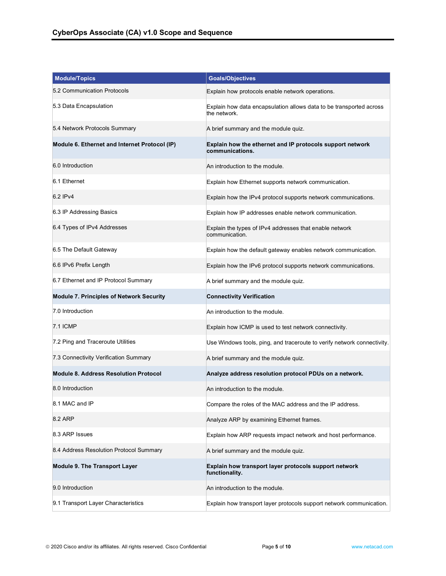| <b>Module/Topics</b>                            | <b>Goals/Objectives</b>                                                             |
|-------------------------------------------------|-------------------------------------------------------------------------------------|
| 5.2 Communication Protocols                     | Explain how protocols enable network operations.                                    |
| 5.3 Data Encapsulation                          | Explain how data encapsulation allows data to be transported across<br>the network. |
| 5.4 Network Protocols Summary                   | A brief summary and the module quiz.                                                |
| Module 6. Ethernet and Internet Protocol (IP)   | Explain how the ethernet and IP protocols support network<br>communications.        |
| 6.0 Introduction                                | An introduction to the module.                                                      |
| 6.1 Ethernet                                    | Explain how Ethernet supports network communication.                                |
| 6.2 IPv4                                        | Explain how the IPv4 protocol supports network communications.                      |
| 6.3 IP Addressing Basics                        | Explain how IP addresses enable network communication.                              |
| 6.4 Types of IPv4 Addresses                     | Explain the types of IPv4 addresses that enable network<br>communication.           |
| 6.5 The Default Gateway                         | Explain how the default gateway enables network communication.                      |
| 6.6 IPv6 Prefix Length                          | Explain how the IPv6 protocol supports network communications.                      |
| 6.7 Ethernet and IP Protocol Summary            | A brief summary and the module quiz.                                                |
| <b>Module 7. Principles of Network Security</b> | <b>Connectivity Verification</b>                                                    |
| 7.0 Introduction                                | An introduction to the module.                                                      |
| 7.1 ICMP                                        | Explain how ICMP is used to test network connectivity.                              |
| 7.2 Ping and Traceroute Utilities               | Use Windows tools, ping, and traceroute to verify network connectivity.             |
| 7.3 Connectivity Verification Summary           | A brief summary and the module quiz.                                                |
| <b>Module 8. Address Resolution Protocol</b>    | Analyze address resolution protocol PDUs on a network.                              |
| 8.0 Introduction                                | An introduction to the module.                                                      |
| 8.1 MAC and IP                                  | Compare the roles of the MAC address and the IP address.                            |
| 8.2 ARP                                         | Analyze ARP by examining Ethernet frames.                                           |
| 8.3 ARP Issues                                  | Explain how ARP requests impact network and host performance.                       |
| 8.4 Address Resolution Protocol Summary         | A brief summary and the module quiz.                                                |
| <b>Module 9. The Transport Layer</b>            | Explain how transport layer protocols support network<br>functionality.             |
| 9.0 Introduction                                | An introduction to the module.                                                      |
| 9.1 Transport Layer Characteristics             | Explain how transport layer protocols support network communication.                |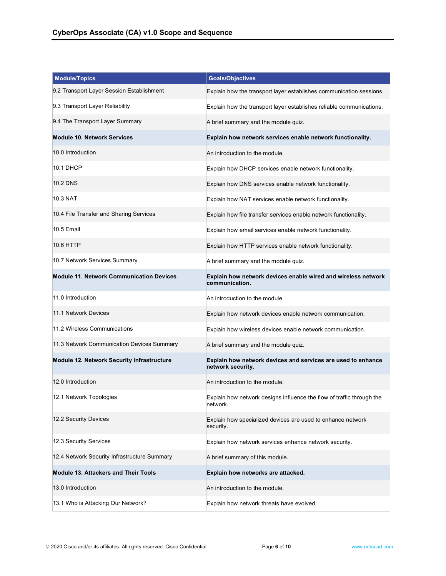| <b>Module/Topics</b>                            | <b>Goals/Objectives</b>                                                           |
|-------------------------------------------------|-----------------------------------------------------------------------------------|
| 9.2 Transport Layer Session Establishment       | Explain how the transport layer establishes communication sessions.               |
| 9.3 Transport Layer Reliability                 | Explain how the transport layer establishes reliable communications.              |
| 9.4 The Transport Layer Summary                 | A brief summary and the module quiz.                                              |
| <b>Module 10. Network Services</b>              | Explain how network services enable network functionality.                        |
| 10.0 Introduction                               | An introduction to the module.                                                    |
| 10.1 DHCP                                       | Explain how DHCP services enable network functionality.                           |
| 10.2 DNS                                        | Explain how DNS services enable network functionality.                            |
| 10.3 NAT                                        | Explain how NAT services enable network functionality.                            |
| 10.4 File Transfer and Sharing Services         | Explain how file transfer services enable network functionality.                  |
| 10.5 Email                                      | Explain how email services enable network functionality.                          |
| 10.6 HTTP                                       | Explain how HTTP services enable network functionality.                           |
| 10.7 Network Services Summary                   | A brief summary and the module quiz.                                              |
| <b>Module 11. Network Communication Devices</b> | Explain how network devices enable wired and wireless network<br>communication.   |
| 11.0 Introduction                               | An introduction to the module.                                                    |
| 11.1 Network Devices                            | Explain how network devices enable network communication.                         |
| 11.2 Wireless Communications                    | Explain how wireless devices enable network communication.                        |
| 11.3 Network Communication Devices Summary      | A brief summary and the module quiz.                                              |
| Module 12. Network Security Infrastructure      | Explain how network devices and services are used to enhance<br>network security. |
| 12.0 Introduction                               | An introduction to the module.                                                    |
| 12.1 Network Topologies                         | Explain how network designs influence the flow of traffic through the<br>network. |
| 12.2 Security Devices                           | Explain how specialized devices are used to enhance network<br>security.          |
| 12.3 Security Services                          | Explain how network services enhance network security.                            |
| 12.4 Network Security Infrastructure Summary    | A brief summary of this module.                                                   |
| <b>Module 13. Attackers and Their Tools</b>     | Explain how networks are attacked.                                                |
| 13.0 Introduction                               | An introduction to the module.                                                    |
| 13.1 Who is Attacking Our Network?              | Explain how network threats have evolved.                                         |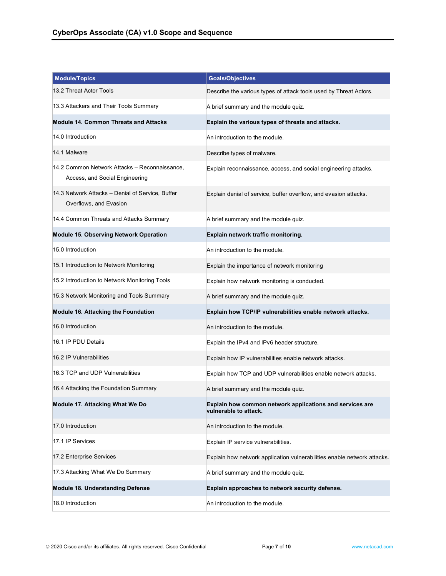| <b>Module/Topics</b>                                                            | <b>Goals/Objectives</b>                                                           |
|---------------------------------------------------------------------------------|-----------------------------------------------------------------------------------|
| 13.2 Threat Actor Tools                                                         | Describe the various types of attack tools used by Threat Actors.                 |
| 13.3 Attackers and Their Tools Summary                                          | A brief summary and the module quiz.                                              |
| <b>Module 14. Common Threats and Attacks</b>                                    | Explain the various types of threats and attacks.                                 |
| 14.0 Introduction                                                               | An introduction to the module.                                                    |
| 14.1 Malware                                                                    | Describe types of malware.                                                        |
| 14.2 Common Network Attacks - Reconnaissance,<br>Access, and Social Engineering | Explain reconnaissance, access, and social engineering attacks.                   |
| 14.3 Network Attacks - Denial of Service, Buffer<br>Overflows, and Evasion      | Explain denial of service, buffer overflow, and evasion attacks.                  |
| 14.4 Common Threats and Attacks Summary                                         | A brief summary and the module quiz.                                              |
| <b>Module 15. Observing Network Operation</b>                                   | Explain network traffic monitoring.                                               |
| 15.0 Introduction                                                               | An introduction to the module.                                                    |
| 15.1 Introduction to Network Monitoring                                         | Explain the importance of network monitoring                                      |
| 15.2 Introduction to Network Monitoring Tools                                   | Explain how network monitoring is conducted.                                      |
| 15.3 Network Monitoring and Tools Summary                                       | A brief summary and the module quiz.                                              |
| Module 16. Attacking the Foundation                                             | Explain how TCP/IP vulnerabilities enable network attacks.                        |
| 16.0 Introduction                                                               | An introduction to the module.                                                    |
| 16.1 IP PDU Details                                                             | Explain the IPv4 and IPv6 header structure.                                       |
| 16.2 IP Vulnerabilities                                                         | Explain how IP vulnerabilities enable network attacks.                            |
| 16.3 TCP and UDP Vulnerabilities                                                | Explain how TCP and UDP vulnerabilities enable network attacks.                   |
| 16.4 Attacking the Foundation Summary                                           | A brief summary and the module quiz.                                              |
| Module 17. Attacking What We Do                                                 | Explain how common network applications and services are<br>vulnerable to attack. |
| 17.0 Introduction                                                               | An introduction to the module.                                                    |
| 17.1 IP Services                                                                | Explain IP service vulnerabilities.                                               |
| 17.2 Enterprise Services                                                        | Explain how network application vulnerabilities enable network attacks.           |
| 17.3 Attacking What We Do Summary                                               | A brief summary and the module quiz.                                              |
| Module 18. Understanding Defense                                                | Explain approaches to network security defense.                                   |
| 18.0 Introduction                                                               | An introduction to the module.                                                    |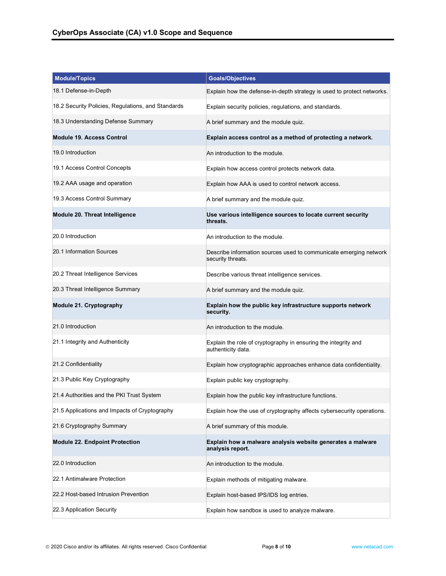| <b>Module/Topics</b>                               | <b>Goals/Objectives</b>                                                                |
|----------------------------------------------------|----------------------------------------------------------------------------------------|
| 18.1 Defense-in-Depth                              | Explain how the defense-in-depth strategy is used to protect networks.                 |
| 18.2 Security Policies, Regulations, and Standards | Explain security policies, regulations, and standards.                                 |
| 18.3 Understanding Defense Summary                 | A brief summary and the module quiz.                                                   |
| <b>Module 19. Access Control</b>                   | Explain access control as a method of protecting a network.                            |
| 19.0 Introduction                                  | An introduction to the module.                                                         |
| 19.1 Access Control Concepts                       | Explain how access control protects network data.                                      |
| 19.2 AAA usage and operation                       | Explain how AAA is used to control network access.                                     |
| 19.3 Access Control Summary                        | A brief summary and the module quiz.                                                   |
| Module 20. Threat Intelligence                     | Use various intelligence sources to locate current security<br>threats.                |
| 20.0 Introduction                                  | An introduction to the module.                                                         |
| 20.1 Information Sources                           | Describe information sources used to communicate emerging network<br>security threats. |
| 20.2 Threat Intelligence Services                  | Describe various threat intelligence services.                                         |
| 20.3 Threat Intelligence Summary                   | A brief summary and the module quiz.                                                   |
| Module 21. Cryptography                            | Explain how the public key infrastructure supports network<br>security.                |
| 21.0 Introduction                                  | An introduction to the module.                                                         |
| 21.1 Integrity and Authenticity                    | Explain the role of cryptography in ensuring the integrity and<br>authenticity data.   |
| 21.2 Confidentiality                               | Explain how cryptographic approaches enhance data confidentiality.                     |
| 21.3 Public Key Cryptography                       | Explain public key cryptography.                                                       |
| 21.4 Authorities and the PKI Trust System          | Explain how the public key infrastructure functions.                                   |
| 21.5 Applications and Impacts of Cryptography      | Explain how the use of cryptography affects cybersecurity operations.                  |
| 21.6 Cryptography Summary                          | A brief summary of this module.                                                        |
| <b>Module 22. Endpoint Protection</b>              | Explain how a malware analysis website generates a malware<br>analysis report.         |
| 22.0 Introduction                                  | An introduction to the module.                                                         |
| 22.1 Antimalware Protection                        | Explain methods of mitigating malware.                                                 |
| 22.2 Host-based Intrusion Prevention               | Explain host-based IPS/IDS log entries.                                                |
| 22.3 Application Security                          | Explain how sandbox is used to analyze malware.                                        |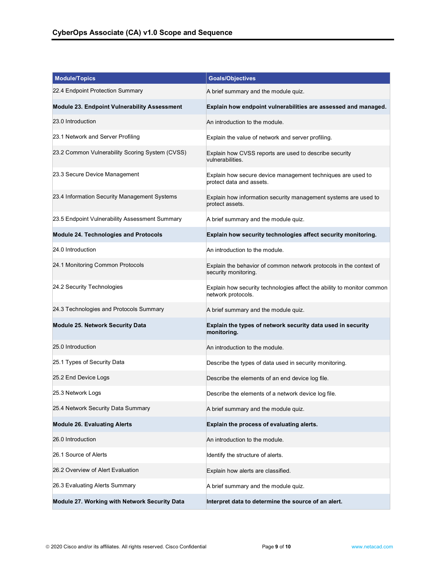| <b>Module/Topics</b>                                | <b>Goals/Objectives</b>                                                                      |
|-----------------------------------------------------|----------------------------------------------------------------------------------------------|
| 22.4 Endpoint Protection Summary                    | A brief summary and the module quiz.                                                         |
| <b>Module 23. Endpoint Vulnerability Assessment</b> | Explain how endpoint vulnerabilities are assessed and managed.                               |
| 23.0 Introduction                                   | An introduction to the module.                                                               |
| 23.1 Network and Server Profiling                   | Explain the value of network and server profiling.                                           |
| 23.2 Common Vulnerability Scoring System (CVSS)     | Explain how CVSS reports are used to describe security<br>vulnerabilities.                   |
| 23.3 Secure Device Management                       | Explain how secure device management techniques are used to<br>protect data and assets.      |
| 23.4 Information Security Management Systems        | Explain how information security management systems are used to<br>protect assets.           |
| 23.5 Endpoint Vulnerability Assessment Summary      | A brief summary and the module quiz.                                                         |
| <b>Module 24. Technologies and Protocols</b>        | Explain how security technologies affect security monitoring.                                |
| 24.0 Introduction                                   | An introduction to the module.                                                               |
| 24.1 Monitoring Common Protocols                    | Explain the behavior of common network protocols in the context of<br>security monitoring.   |
| 24.2 Security Technologies                          | Explain how security technologies affect the ability to monitor common<br>network protocols. |
| 24.3 Technologies and Protocols Summary             | A brief summary and the module quiz.                                                         |
| <b>Module 25. Network Security Data</b>             | Explain the types of network security data used in security<br>monitoring.                   |
| 25.0 Introduction                                   | An introduction to the module.                                                               |
| 25.1 Types of Security Data                         | Describe the types of data used in security monitoring.                                      |
| 25.2 End Device Logs                                | Describe the elements of an end device log file.                                             |
| 25.3 Network Logs                                   | Describe the elements of a network device log file.                                          |
| 25.4 Network Security Data Summary                  | A brief summary and the module quiz.                                                         |
| <b>Module 26. Evaluating Alerts</b>                 | Explain the process of evaluating alerts.                                                    |
| 26.0 Introduction                                   | An introduction to the module.                                                               |
| 26.1 Source of Alerts                               | Identify the structure of alerts.                                                            |
| 26.2 Overview of Alert Evaluation                   | Explain how alerts are classified.                                                           |
| 26.3 Evaluating Alerts Summary                      | A brief summary and the module quiz.                                                         |
| Module 27. Working with Network Security Data       | Interpret data to determine the source of an alert.                                          |